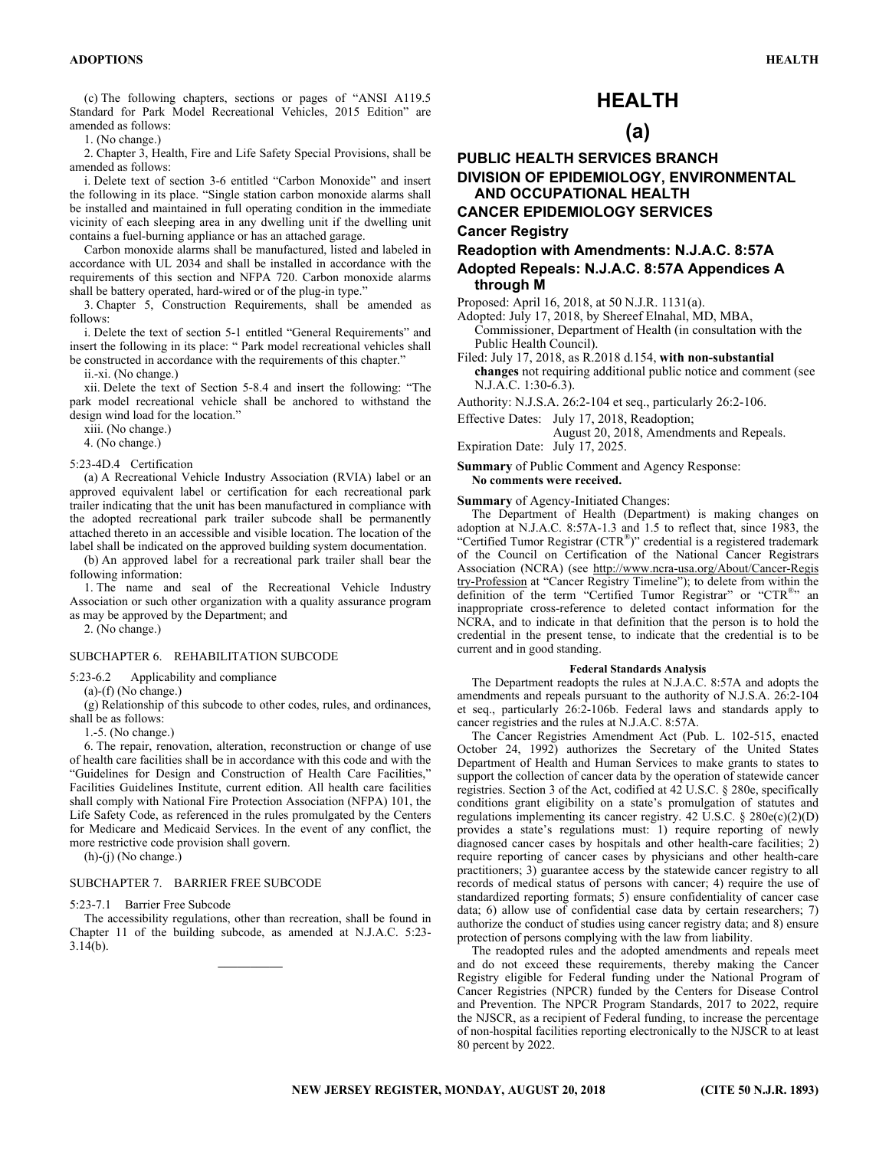(c) The following chapters, sections or pages of "ANSI A119.5 Standard for Park Model Recreational Vehicles, 2015 Edition" are amended as follows:

1. (No change.)

2. Chapter 3, Health, Fire and Life Safety Special Provisions, shall be amended as follows:

i. Delete text of section 3-6 entitled "Carbon Monoxide" and insert the following in its place. "Single station carbon monoxide alarms shall be installed and maintained in full operating condition in the immediate vicinity of each sleeping area in any dwelling unit if the dwelling unit contains a fuel-burning appliance or has an attached garage.

Carbon monoxide alarms shall be manufactured, listed and labeled in accordance with UL 2034 and shall be installed in accordance with the requirements of this section and NFPA 720. Carbon monoxide alarms shall be battery operated, hard-wired or of the plug-in type."

3. Chapter 5, Construction Requirements, shall be amended as follows:

i. Delete the text of section 5-1 entitled "General Requirements" and insert the following in its place: " Park model recreational vehicles shall be constructed in accordance with the requirements of this chapter."

ii.-xi. (No change.)

xii. Delete the text of Section 5-8.4 and insert the following: "The park model recreational vehicle shall be anchored to withstand the design wind load for the location."

xiii. (No change.)

4. (No change.)

#### 5:23-4D.4 Certification

(a) A Recreational Vehicle Industry Association (RVIA) label or an approved equivalent label or certification for each recreational park trailer indicating that the unit has been manufactured in compliance with the adopted recreational park trailer subcode shall be permanently attached thereto in an accessible and visible location. The location of the label shall be indicated on the approved building system documentation.

(b) An approved label for a recreational park trailer shall bear the following information:

1. The name and seal of the Recreational Vehicle Industry Association or such other organization with a quality assurance program as may be approved by the Department; and

2. (No change.)

#### SUBCHAPTER 6. REHABILITATION SUBCODE

5:23-6.2 Applicability and compliance

(a)-(f) (No change.)

(g) Relationship of this subcode to other codes, rules, and ordinances, shall be as follows:

1.-5. (No change.)

6. The repair, renovation, alteration, reconstruction or change of use of health care facilities shall be in accordance with this code and with the "Guidelines for Design and Construction of Health Care Facilities," Facilities Guidelines Institute, current edition. All health care facilities shall comply with National Fire Protection Association (NFPA) 101, the Life Safety Code, as referenced in the rules promulgated by the Centers for Medicare and Medicaid Services. In the event of any conflict, the more restrictive code provision shall govern.

(h)-(j) (No change.)

#### SUBCHAPTER 7. BARRIER FREE SUBCODE

5:23-7.1 Barrier Free Subcode

The accessibility regulations, other than recreation, shall be found in Chapter 11 of the building subcode, as amended at N.J.A.C. 5:23- 3.14(b).

 $\mathcal{L}=\mathcal{L}^{\mathcal{L}}$ 

# **HEALTH**

# **(a)**

# **PUBLIC HEALTH SERVICES BRANCH DIVISION OF EPIDEMIOLOGY, ENVIRONMENTAL AND OCCUPATIONAL HEALTH**

**CANCER EPIDEMIOLOGY SERVICES Cancer Registry** 

## **Readoption with Amendments: N.J.A.C. 8:57A**

**Adopted Repeals: N.J.A.C. 8:57A Appendices A through M** 

Proposed: April 16, 2018, at 50 N.J.R. 1131(a).

Adopted: July 17, 2018, by Shereef Elnahal, MD, MBA,

Commissioner, Department of Health (in consultation with the Public Health Council).

Filed: July 17, 2018, as R.2018 d.154, **with non-substantial changes** not requiring additional public notice and comment (see N.J.A.C. 1:30-6.3).

Authority: N.J.S.A. 26:2-104 et seq., particularly 26:2-106.

Effective Dates: July 17, 2018, Readoption;

 August 20, 2018, Amendments and Repeals. Expiration Date: July 17, 2025.

**Summary** of Public Comment and Agency Response: **No comments were received.** 

#### **Summary** of Agency-Initiated Changes:

The Department of Health (Department) is making changes on adoption at N.J.A.C. 8:57A-1.3 and 1.5 to reflect that, since 1983, the "Certified Tumor Registrar (CTR®)" credential is a registered trademark of the Council on Certification of the National Cancer Registrars Association (NCRA) (see http://www.ncra-usa.org/About/Cancer-Regis try-Profession at "Cancer Registry Timeline"); to delete from within the definition of the term "Certified Tumor Registrar" or "CTR®" an inappropriate cross-reference to deleted contact information for the NCRA, and to indicate in that definition that the person is to hold the credential in the present tense, to indicate that the credential is to be current and in good standing.

#### **Federal Standards Analysis**

The Department readopts the rules at N.J.A.C. 8:57A and adopts the amendments and repeals pursuant to the authority of N.J.S.A. 26:2-104 et seq., particularly 26:2-106b. Federal laws and standards apply to cancer registries and the rules at N.J.A.C. 8:57A.

The Cancer Registries Amendment Act (Pub. L. 102-515, enacted October 24, 1992) authorizes the Secretary of the United States Department of Health and Human Services to make grants to states to support the collection of cancer data by the operation of statewide cancer registries. Section 3 of the Act, codified at 42 U.S.C. § 280e, specifically conditions grant eligibility on a state's promulgation of statutes and regulations implementing its cancer registry.  $42 \text{ U.S.C.}$  §  $280 \text{e(c)}(2)$ (D) provides a state's regulations must: 1) require reporting of newly diagnosed cancer cases by hospitals and other health-care facilities; 2) require reporting of cancer cases by physicians and other health-care practitioners; 3) guarantee access by the statewide cancer registry to all records of medical status of persons with cancer; 4) require the use of standardized reporting formats; 5) ensure confidentiality of cancer case data; 6) allow use of confidential case data by certain researchers; 7) authorize the conduct of studies using cancer registry data; and 8) ensure protection of persons complying with the law from liability.

The readopted rules and the adopted amendments and repeals meet and do not exceed these requirements, thereby making the Cancer Registry eligible for Federal funding under the National Program of Cancer Registries (NPCR) funded by the Centers for Disease Control and Prevention. The NPCR Program Standards, 2017 to 2022, require the NJSCR, as a recipient of Federal funding, to increase the percentage of non-hospital facilities reporting electronically to the NJSCR to at least 80 percent by 2022.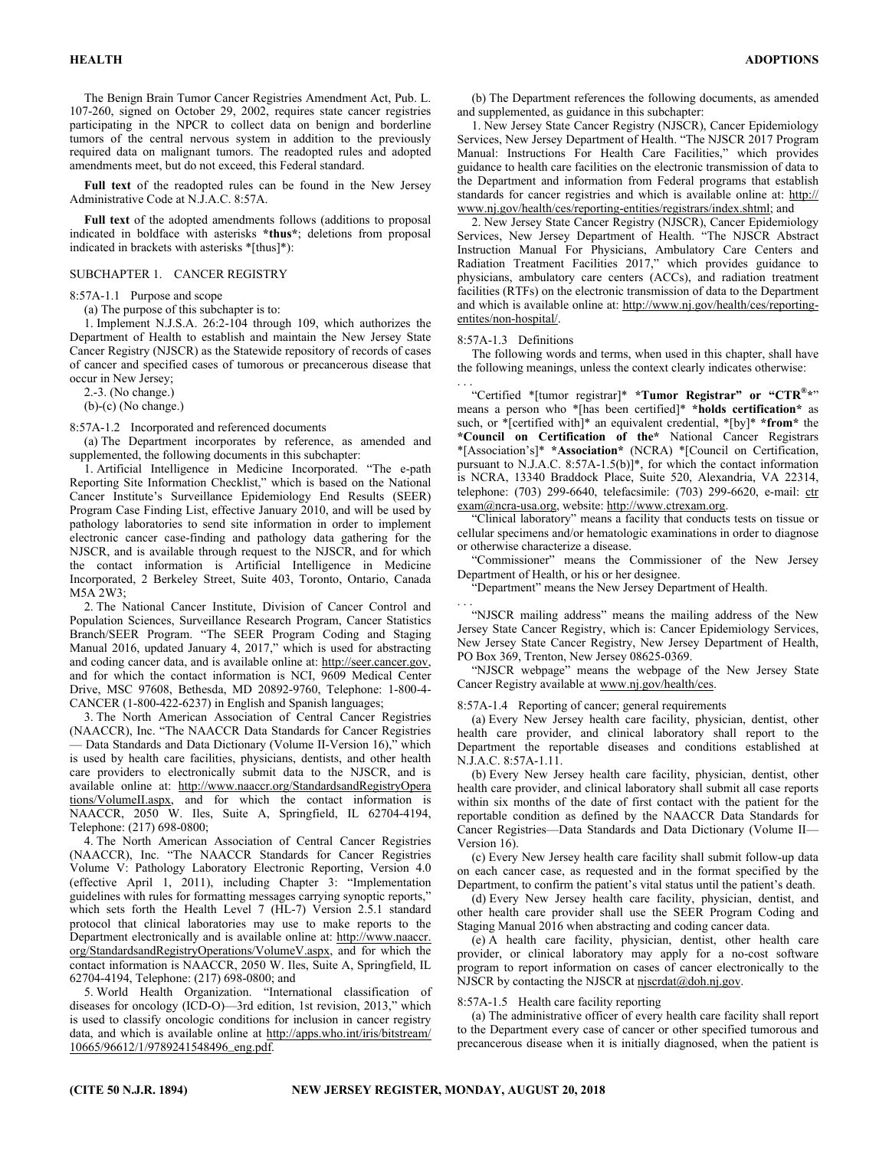The Benign Brain Tumor Cancer Registries Amendment Act, Pub. L. 107-260, signed on October 29, 2002, requires state cancer registries participating in the NPCR to collect data on benign and borderline tumors of the central nervous system in addition to the previously required data on malignant tumors. The readopted rules and adopted amendments meet, but do not exceed, this Federal standard.

**Full text** of the readopted rules can be found in the New Jersey Administrative Code at N.J.A.C. 8:57A.

**Full text** of the adopted amendments follows (additions to proposal indicated in boldface with asterisks **\*thus\***; deletions from proposal indicated in brackets with asterisks \*[thus]\*):

#### SUBCHAPTER 1. CANCER REGISTRY

8:57A-1.1 Purpose and scope

(a) The purpose of this subchapter is to:

1. Implement N.J.S.A. 26:2-104 through 109, which authorizes the Department of Health to establish and maintain the New Jersey State Cancer Registry (NJSCR) as the Statewide repository of records of cases of cancer and specified cases of tumorous or precancerous disease that occur in New Jersey;

2.-3. (No change.)

(b)-(c) (No change.)

8:57A-1.2 Incorporated and referenced documents

(a) The Department incorporates by reference, as amended and supplemented, the following documents in this subchapter:

1. Artificial Intelligence in Medicine Incorporated. "The e-path Reporting Site Information Checklist," which is based on the National Cancer Institute's Surveillance Epidemiology End Results (SEER) Program Case Finding List, effective January 2010, and will be used by pathology laboratories to send site information in order to implement electronic cancer case-finding and pathology data gathering for the NJSCR, and is available through request to the NJSCR, and for which the contact information is Artificial Intelligence in Medicine Incorporated, 2 Berkeley Street, Suite 403, Toronto, Ontario, Canada M5A 2W3;

2. The National Cancer Institute, Division of Cancer Control and Population Sciences, Surveillance Research Program, Cancer Statistics Branch/SEER Program. "The SEER Program Coding and Staging Manual 2016, updated January 4, 2017," which is used for abstracting and coding cancer data, and is available online at: http://seer.cancer.gov, and for which the contact information is NCI, 9609 Medical Center Drive, MSC 97608, Bethesda, MD 20892-9760, Telephone: 1-800-4- CANCER (1-800-422-6237) in English and Spanish languages;

3. The North American Association of Central Cancer Registries (NAACCR), Inc. "The NAACCR Data Standards for Cancer Registries — Data Standards and Data Dictionary (Volume II-Version 16)," which is used by health care facilities, physicians, dentists, and other health care providers to electronically submit data to the NJSCR, and is available online at: http://www.naaccr.org/StandardsandRegistryOpera tions/VolumeII.aspx, and for which the contact information is NAACCR, 2050 W. Iles, Suite A, Springfield, IL 62704-4194, Telephone: (217) 698-0800;

4. The North American Association of Central Cancer Registries (NAACCR), Inc. "The NAACCR Standards for Cancer Registries Volume V: Pathology Laboratory Electronic Reporting, Version 4.0 (effective April 1, 2011), including Chapter 3: "Implementation guidelines with rules for formatting messages carrying synoptic reports," which sets forth the Health Level 7 (HL-7) Version 2.5.1 standard protocol that clinical laboratories may use to make reports to the Department electronically and is available online at: http://www.naaccr. org/StandardsandRegistryOperations/VolumeV.aspx, and for which the contact information is NAACCR, 2050 W. Iles, Suite A, Springfield, IL 62704-4194, Telephone: (217) 698-0800; and

5. World Health Organization. "International classification of diseases for oncology (ICD-O)—3rd edition, 1st revision, 2013," which is used to classify oncologic conditions for inclusion in cancer registry data, and which is available online at http://apps.who.int/iris/bitstream/ 10665/96612/1/9789241548496\_eng.pdf.

(b) The Department references the following documents, as amended and supplemented, as guidance in this subchapter:

1. New Jersey State Cancer Registry (NJSCR), Cancer Epidemiology Services, New Jersey Department of Health. "The NJSCR 2017 Program Manual: Instructions For Health Care Facilities," which provides guidance to health care facilities on the electronic transmission of data to the Department and information from Federal programs that establish standards for cancer registries and which is available online at: http:// www.nj.gov/health/ces/reporting-entities/registrars/index.shtml; and

2. New Jersey State Cancer Registry (NJSCR), Cancer Epidemiology Services, New Jersey Department of Health. "The NJSCR Abstract Instruction Manual For Physicians, Ambulatory Care Centers and Radiation Treatment Facilities 2017," which provides guidance to physicians, ambulatory care centers (ACCs), and radiation treatment facilities (RTFs) on the electronic transmission of data to the Department and which is available online at: http://www.nj.gov/health/ces/reportingentites/non-hospital/.

8:57A-1.3 Definitions

The following words and terms, when used in this chapter, shall have the following meanings, unless the context clearly indicates otherwise:

. . . "Certified \*[tumor registrar]\* **\*Tumor Registrar" or "CTR®\***" means a person who \*[has been certified]\* **\*holds certification\*** as such, or \*[certified with]\* an equivalent credential, \*[by]\* **\*from\*** the **\*Council on Certification of the\*** National Cancer Registrars \*[Association's]\* **\*Association\*** (NCRA) \*[Council on Certification, pursuant to N.J.A.C. 8:57A-1.5(b)]\*, for which the contact information is NCRA, 13340 Braddock Place, Suite 520, Alexandria, VA 22314, telephone: (703) 299-6640, telefacsimile: (703) 299-6620, e-mail: ctr exam@ncra-usa.org, website: http://www.ctrexam.org.

"Clinical laboratory" means a facility that conducts tests on tissue or cellular specimens and/or hematologic examinations in order to diagnose or otherwise characterize a disease.

"Commissioner" means the Commissioner of the New Jersey Department of Health, or his or her designee.

"Department" means the New Jersey Department of Health.

. . . "NJSCR mailing address" means the mailing address of the New Jersey State Cancer Registry, which is: Cancer Epidemiology Services, New Jersey State Cancer Registry, New Jersey Department of Health, PO Box 369, Trenton, New Jersey 08625-0369.

"NJSCR webpage" means the webpage of the New Jersey State Cancer Registry available at www.nj.gov/health/ces.

8:57A-1.4 Reporting of cancer; general requirements

(a) Every New Jersey health care facility, physician, dentist, other health care provider, and clinical laboratory shall report to the Department the reportable diseases and conditions established at N.J.A.C. 8:57A-1.11.

(b) Every New Jersey health care facility, physician, dentist, other health care provider, and clinical laboratory shall submit all case reports within six months of the date of first contact with the patient for the reportable condition as defined by the NAACCR Data Standards for Cancer Registries—Data Standards and Data Dictionary (Volume II— Version 16).

(c) Every New Jersey health care facility shall submit follow-up data on each cancer case, as requested and in the format specified by the Department, to confirm the patient's vital status until the patient's death.

(d) Every New Jersey health care facility, physician, dentist, and other health care provider shall use the SEER Program Coding and Staging Manual 2016 when abstracting and coding cancer data.

(e) A health care facility, physician, dentist, other health care provider, or clinical laboratory may apply for a no-cost software program to report information on cases of cancer electronically to the NJSCR by contacting the NJSCR at njscrdat@doh.nj.gov.

8:57A-1.5 Health care facility reporting

(a) The administrative officer of every health care facility shall report to the Department every case of cancer or other specified tumorous and precancerous disease when it is initially diagnosed, when the patient is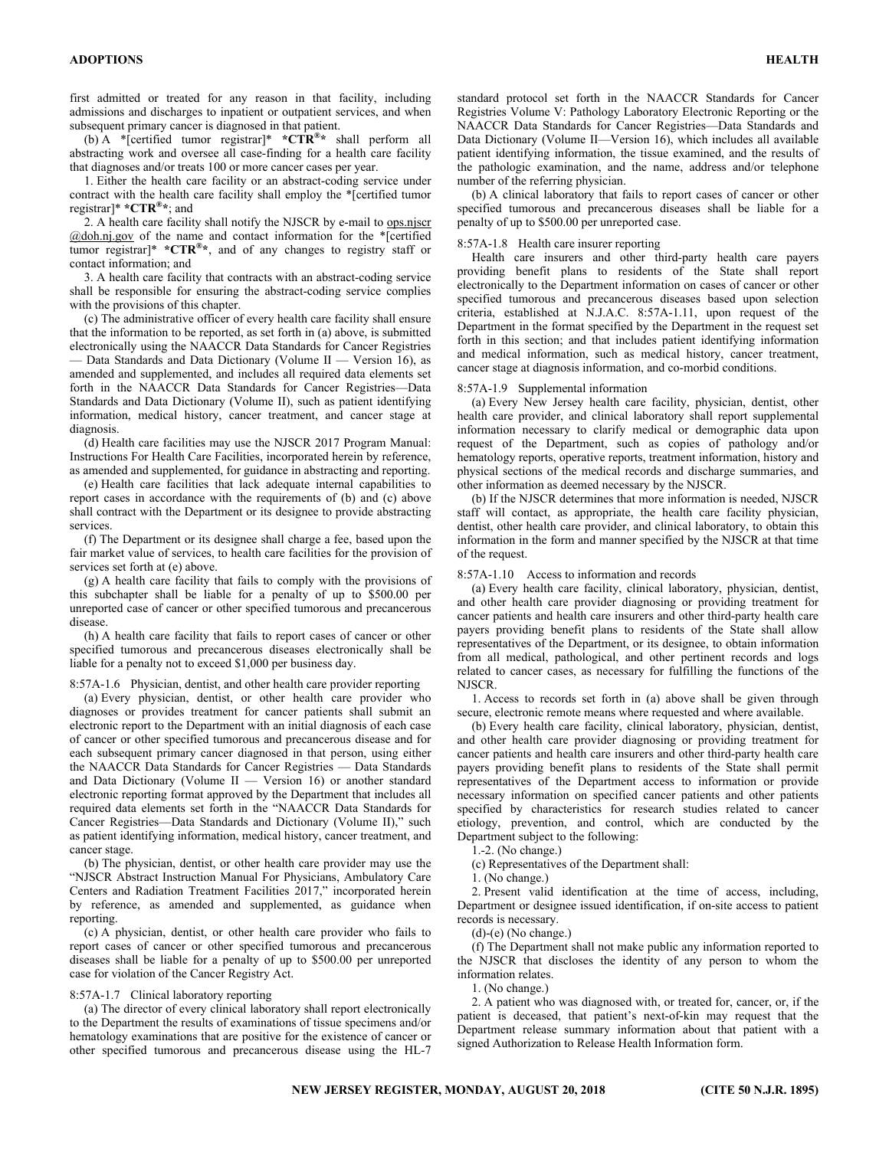first admitted or treated for any reason in that facility, including admissions and discharges to inpatient or outpatient services, and when subsequent primary cancer is diagnosed in that patient.

(b) A \*[certified tumor registrar]\* **\*CTR®\*** shall perform all abstracting work and oversee all case-finding for a health care facility that diagnoses and/or treats 100 or more cancer cases per year.

1. Either the health care facility or an abstract-coding service under contract with the health care facility shall employ the \*[certified tumor registrar]\* **\*CTR®\***; and

2. A health care facility shall notify the NJSCR by e-mail to ops.njscr @doh.nj.gov of the name and contact information for the \*[certified tumor registrar]\* **\*CTR®\***, and of any changes to registry staff or contact information; and

3. A health care facility that contracts with an abstract-coding service shall be responsible for ensuring the abstract-coding service complies with the provisions of this chapter.

(c) The administrative officer of every health care facility shall ensure that the information to be reported, as set forth in (a) above, is submitted electronically using the NAACCR Data Standards for Cancer Registries — Data Standards and Data Dictionary (Volume II — Version 16), as amended and supplemented, and includes all required data elements set forth in the NAACCR Data Standards for Cancer Registries—Data Standards and Data Dictionary (Volume II), such as patient identifying information, medical history, cancer treatment, and cancer stage at diagnosis.

(d) Health care facilities may use the NJSCR 2017 Program Manual: Instructions For Health Care Facilities, incorporated herein by reference, as amended and supplemented, for guidance in abstracting and reporting.

(e) Health care facilities that lack adequate internal capabilities to report cases in accordance with the requirements of (b) and (c) above shall contract with the Department or its designee to provide abstracting services.

(f) The Department or its designee shall charge a fee, based upon the fair market value of services, to health care facilities for the provision of services set forth at (e) above.

(g) A health care facility that fails to comply with the provisions of this subchapter shall be liable for a penalty of up to \$500.00 per unreported case of cancer or other specified tumorous and precancerous disease.

(h) A health care facility that fails to report cases of cancer or other specified tumorous and precancerous diseases electronically shall be liable for a penalty not to exceed \$1,000 per business day.

8:57A-1.6 Physician, dentist, and other health care provider reporting

(a) Every physician, dentist, or other health care provider who diagnoses or provides treatment for cancer patients shall submit an electronic report to the Department with an initial diagnosis of each case of cancer or other specified tumorous and precancerous disease and for each subsequent primary cancer diagnosed in that person, using either the NAACCR Data Standards for Cancer Registries — Data Standards and Data Dictionary (Volume II — Version 16) or another standard electronic reporting format approved by the Department that includes all required data elements set forth in the "NAACCR Data Standards for Cancer Registries—Data Standards and Dictionary (Volume II)," such as patient identifying information, medical history, cancer treatment, and cancer stage.

(b) The physician, dentist, or other health care provider may use the "NJSCR Abstract Instruction Manual For Physicians, Ambulatory Care Centers and Radiation Treatment Facilities 2017," incorporated herein by reference, as amended and supplemented, as guidance when reporting.

(c) A physician, dentist, or other health care provider who fails to report cases of cancer or other specified tumorous and precancerous diseases shall be liable for a penalty of up to \$500.00 per unreported case for violation of the Cancer Registry Act.

#### 8:57A-1.7 Clinical laboratory reporting

(a) The director of every clinical laboratory shall report electronically to the Department the results of examinations of tissue specimens and/or hematology examinations that are positive for the existence of cancer or other specified tumorous and precancerous disease using the HL-7 standard protocol set forth in the NAACCR Standards for Cancer Registries Volume V: Pathology Laboratory Electronic Reporting or the NAACCR Data Standards for Cancer Registries—Data Standards and Data Dictionary (Volume II—Version 16), which includes all available patient identifying information, the tissue examined, and the results of the pathologic examination, and the name, address and/or telephone number of the referring physician.

(b) A clinical laboratory that fails to report cases of cancer or other specified tumorous and precancerous diseases shall be liable for a penalty of up to \$500.00 per unreported case.

#### 8:57A-1.8 Health care insurer reporting

Health care insurers and other third-party health care payers providing benefit plans to residents of the State shall report electronically to the Department information on cases of cancer or other specified tumorous and precancerous diseases based upon selection criteria, established at N.J.A.C. 8:57A-1.11, upon request of the Department in the format specified by the Department in the request set forth in this section; and that includes patient identifying information and medical information, such as medical history, cancer treatment, cancer stage at diagnosis information, and co-morbid conditions.

#### 8:57A-1.9 Supplemental information

(a) Every New Jersey health care facility, physician, dentist, other health care provider, and clinical laboratory shall report supplemental information necessary to clarify medical or demographic data upon request of the Department, such as copies of pathology and/or hematology reports, operative reports, treatment information, history and physical sections of the medical records and discharge summaries, and other information as deemed necessary by the NJSCR.

(b) If the NJSCR determines that more information is needed, NJSCR staff will contact, as appropriate, the health care facility physician, dentist, other health care provider, and clinical laboratory, to obtain this information in the form and manner specified by the NJSCR at that time of the request.

#### 8:57A-1.10 Access to information and records

(a) Every health care facility, clinical laboratory, physician, dentist, and other health care provider diagnosing or providing treatment for cancer patients and health care insurers and other third-party health care payers providing benefit plans to residents of the State shall allow representatives of the Department, or its designee, to obtain information from all medical, pathological, and other pertinent records and logs related to cancer cases, as necessary for fulfilling the functions of the NJSCR.

1. Access to records set forth in (a) above shall be given through secure, electronic remote means where requested and where available.

(b) Every health care facility, clinical laboratory, physician, dentist, and other health care provider diagnosing or providing treatment for cancer patients and health care insurers and other third-party health care payers providing benefit plans to residents of the State shall permit representatives of the Department access to information or provide necessary information on specified cancer patients and other patients specified by characteristics for research studies related to cancer etiology, prevention, and control, which are conducted by the Department subject to the following:

1.-2. (No change.)

(c) Representatives of the Department shall:

1. (No change.)

2. Present valid identification at the time of access, including, Department or designee issued identification, if on-site access to patient records is necessary.

(d)-(e) (No change.)

(f) The Department shall not make public any information reported to the NJSCR that discloses the identity of any person to whom the information relates.

1. (No change.)

2. A patient who was diagnosed with, or treated for, cancer, or, if the patient is deceased, that patient's next-of-kin may request that the Department release summary information about that patient with a signed Authorization to Release Health Information form.